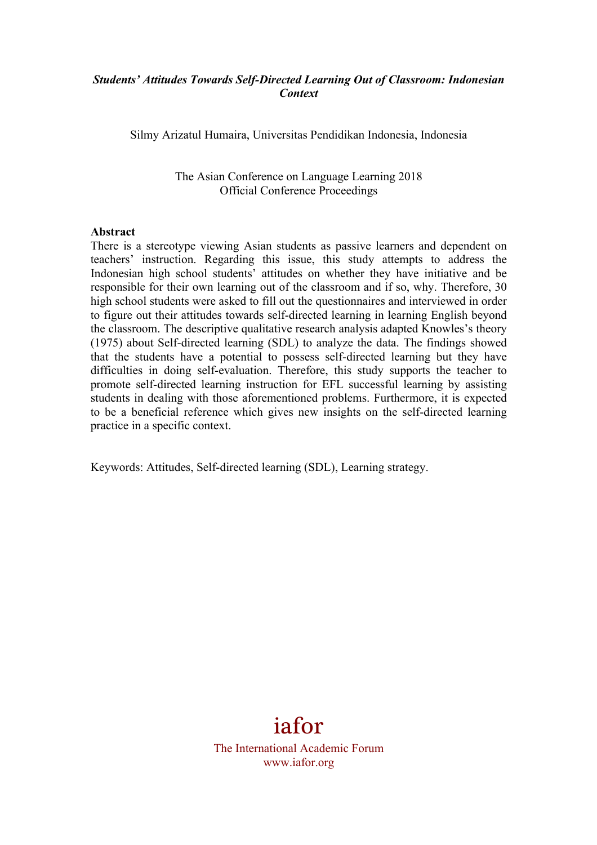# *Students' Attitudes Towards Self-Directed Learning Out of Classroom: Indonesian Context*

Silmy Arizatul Humaira, Universitas Pendidikan Indonesia, Indonesia

The Asian Conference on Language Learning 2018 Official Conference Proceedings

### **Abstract**

There is a stereotype viewing Asian students as passive learners and dependent on teachers' instruction. Regarding this issue, this study attempts to address the Indonesian high school students' attitudes on whether they have initiative and be responsible for their own learning out of the classroom and if so, why. Therefore, 30 high school students were asked to fill out the questionnaires and interviewed in order to figure out their attitudes towards self-directed learning in learning English beyond the classroom. The descriptive qualitative research analysis adapted Knowles's theory (1975) about Self-directed learning (SDL) to analyze the data. The findings showed that the students have a potential to possess self-directed learning but they have difficulties in doing self-evaluation. Therefore, this study supports the teacher to promote self-directed learning instruction for EFL successful learning by assisting students in dealing with those aforementioned problems. Furthermore, it is expected to be a beneficial reference which gives new insights on the self-directed learning practice in a specific context.

Keywords: Attitudes, Self-directed learning (SDL), Learning strategy.

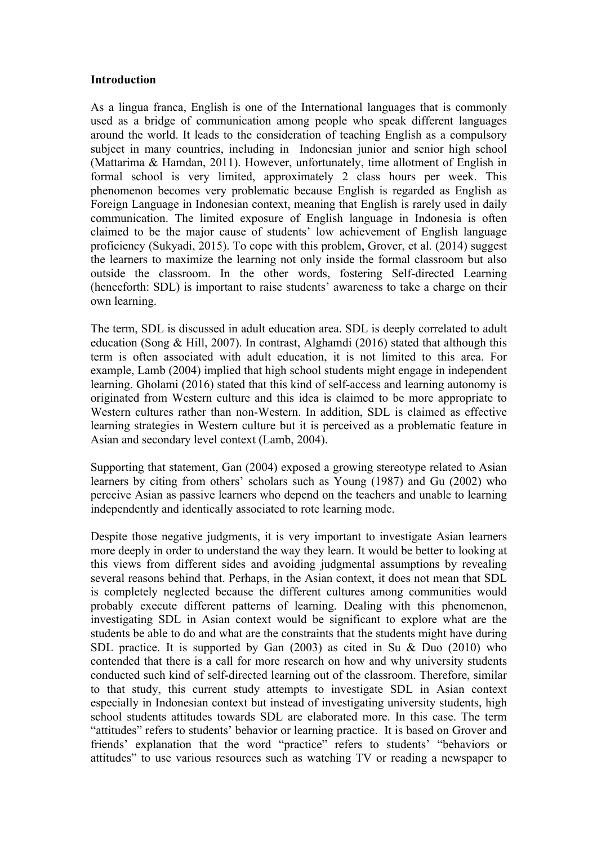### **Introduction**

As a lingua franca, English is one of the International languages that is commonly used as a bridge of communication among people who speak different languages around the world. It leads to the consideration of teaching English as a compulsory subject in many countries, including in Indonesian junior and senior high school (Mattarima & Hamdan, 2011). However, unfortunately, time allotment of English in formal school is very limited, approximately 2 class hours per week. This phenomenon becomes very problematic because English is regarded as English as Foreign Language in Indonesian context, meaning that English is rarely used in daily communication. The limited exposure of English language in Indonesia is often claimed to be the major cause of students' low achievement of English language proficiency (Sukyadi, 2015). To cope with this problem, Grover, et al. (2014) suggest the learners to maximize the learning not only inside the formal classroom but also outside the classroom. In the other words, fostering Self-directed Learning (henceforth: SDL) is important to raise students' awareness to take a charge on their own learning.

The term, SDL is discussed in adult education area. SDL is deeply correlated to adult education (Song & Hill, 2007). In contrast, Alghamdi (2016) stated that although this term is often associated with adult education, it is not limited to this area. For example, Lamb (2004) implied that high school students might engage in independent learning. Gholami (2016) stated that this kind of self-access and learning autonomy is originated from Western culture and this idea is claimed to be more appropriate to Western cultures rather than non-Western. In addition, SDL is claimed as effective learning strategies in Western culture but it is perceived as a problematic feature in Asian and secondary level context (Lamb, 2004).

Supporting that statement, Gan (2004) exposed a growing stereotype related to Asian learners by citing from others' scholars such as Young (1987) and Gu (2002) who perceive Asian as passive learners who depend on the teachers and unable to learning independently and identically associated to rote learning mode.

Despite those negative judgments, it is very important to investigate Asian learners more deeply in order to understand the way they learn. It would be better to looking at this views from different sides and avoiding judgmental assumptions by revealing several reasons behind that. Perhaps, in the Asian context, it does not mean that SDL is completely neglected because the different cultures among communities would probably execute different patterns of learning. Dealing with this phenomenon, investigating SDL in Asian context would be significant to explore what are the students be able to do and what are the constraints that the students might have during SDL practice. It is supported by Gan (2003) as cited in Su & Duo (2010) who contended that there is a call for more research on how and why university students conducted such kind of self-directed learning out of the classroom. Therefore, similar to that study, this current study attempts to investigate SDL in Asian context especially in Indonesian context but instead of investigating university students, high school students attitudes towards SDL are elaborated more. In this case. The term "attitudes" refers to students' behavior or learning practice. It is based on Grover and friends' explanation that the word "practice" refers to students' "behaviors or attitudes" to use various resources such as watching TV or reading a newspaper to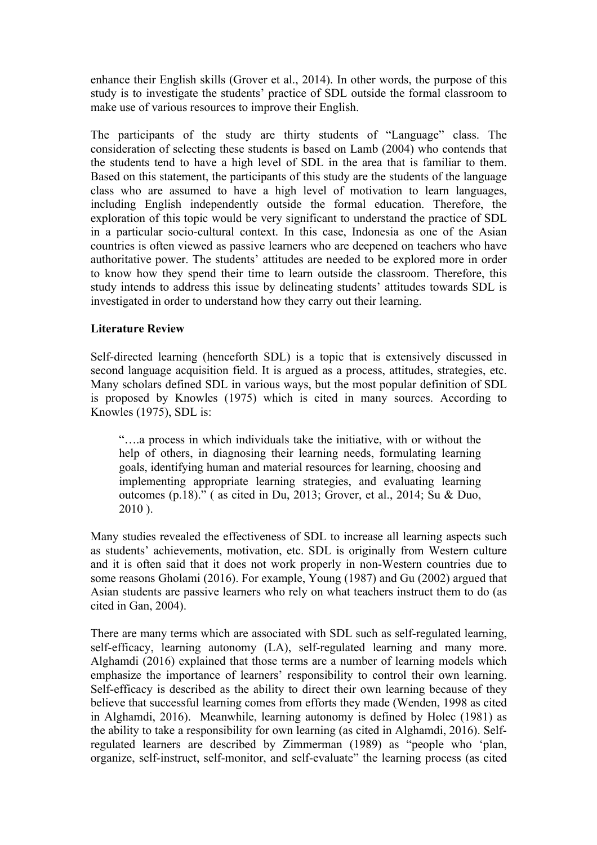enhance their English skills (Grover et al., 2014). In other words, the purpose of this study is to investigate the students' practice of SDL outside the formal classroom to make use of various resources to improve their English.

The participants of the study are thirty students of "Language" class. The consideration of selecting these students is based on Lamb (2004) who contends that the students tend to have a high level of SDL in the area that is familiar to them. Based on this statement, the participants of this study are the students of the language class who are assumed to have a high level of motivation to learn languages, including English independently outside the formal education. Therefore, the exploration of this topic would be very significant to understand the practice of SDL in a particular socio-cultural context. In this case, Indonesia as one of the Asian countries is often viewed as passive learners who are deepened on teachers who have authoritative power. The students' attitudes are needed to be explored more in order to know how they spend their time to learn outside the classroom. Therefore, this study intends to address this issue by delineating students' attitudes towards SDL is investigated in order to understand how they carry out their learning.

### **Literature Review**

Self-directed learning (henceforth SDL) is a topic that is extensively discussed in second language acquisition field. It is argued as a process, attitudes, strategies, etc. Many scholars defined SDL in various ways, but the most popular definition of SDL is proposed by Knowles (1975) which is cited in many sources. According to Knowles (1975), SDL is:

"….a process in which individuals take the initiative, with or without the help of others, in diagnosing their learning needs, formulating learning goals, identifying human and material resources for learning, choosing and implementing appropriate learning strategies, and evaluating learning outcomes (p.18)." ( as cited in Du, 2013; Grover, et al., 2014; Su & Duo, 2010 ).

Many studies revealed the effectiveness of SDL to increase all learning aspects such as students' achievements, motivation, etc. SDL is originally from Western culture and it is often said that it does not work properly in non-Western countries due to some reasons Gholami (2016). For example, Young (1987) and Gu (2002) argued that Asian students are passive learners who rely on what teachers instruct them to do (as cited in Gan, 2004).

There are many terms which are associated with SDL such as self-regulated learning, self-efficacy, learning autonomy (LA), self-regulated learning and many more. Alghamdi (2016) explained that those terms are a number of learning models which emphasize the importance of learners' responsibility to control their own learning. Self-efficacy is described as the ability to direct their own learning because of they believe that successful learning comes from efforts they made (Wenden, 1998 as cited in Alghamdi, 2016). Meanwhile, learning autonomy is defined by Holec (1981) as the ability to take a responsibility for own learning (as cited in Alghamdi, 2016). Selfregulated learners are described by Zimmerman (1989) as "people who 'plan, organize, self-instruct, self-monitor, and self-evaluate" the learning process (as cited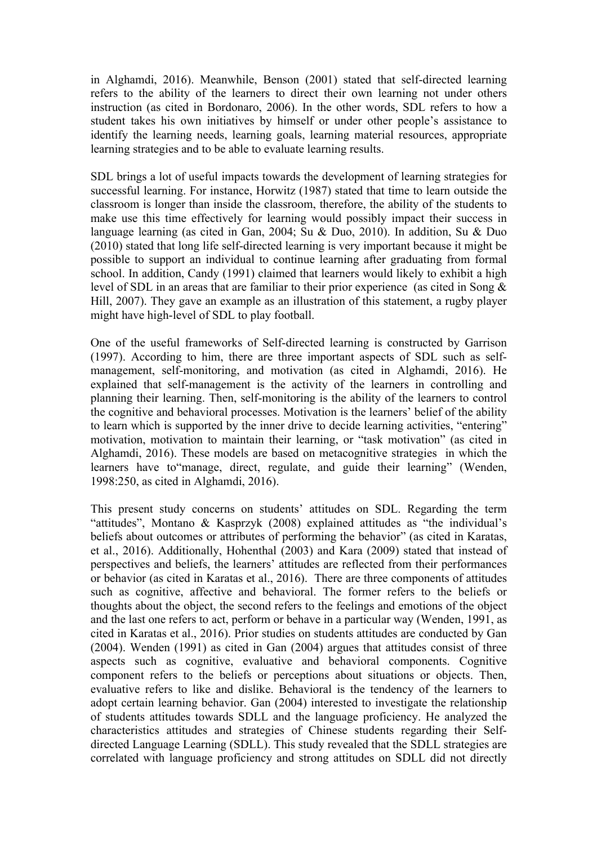in Alghamdi, 2016). Meanwhile, Benson (2001) stated that self-directed learning refers to the ability of the learners to direct their own learning not under others instruction (as cited in Bordonaro, 2006). In the other words, SDL refers to how a student takes his own initiatives by himself or under other people's assistance to identify the learning needs, learning goals, learning material resources, appropriate learning strategies and to be able to evaluate learning results.

SDL brings a lot of useful impacts towards the development of learning strategies for successful learning. For instance, Horwitz (1987) stated that time to learn outside the classroom is longer than inside the classroom, therefore, the ability of the students to make use this time effectively for learning would possibly impact their success in language learning (as cited in Gan, 2004; Su & Duo, 2010). In addition, Su & Duo (2010) stated that long life self-directed learning is very important because it might be possible to support an individual to continue learning after graduating from formal school. In addition, Candy (1991) claimed that learners would likely to exhibit a high level of SDL in an areas that are familiar to their prior experience (as cited in Song & Hill, 2007). They gave an example as an illustration of this statement, a rugby player might have high-level of SDL to play football.

One of the useful frameworks of Self-directed learning is constructed by Garrison (1997). According to him, there are three important aspects of SDL such as selfmanagement, self-monitoring, and motivation (as cited in Alghamdi, 2016). He explained that self-management is the activity of the learners in controlling and planning their learning. Then, self-monitoring is the ability of the learners to control the cognitive and behavioral processes. Motivation is the learners' belief of the ability to learn which is supported by the inner drive to decide learning activities, "entering" motivation, motivation to maintain their learning, or "task motivation" (as cited in Alghamdi, 2016). These models are based on metacognitive strategies in which the learners have to"manage, direct, regulate, and guide their learning" (Wenden, 1998:250, as cited in Alghamdi, 2016).

This present study concerns on students' attitudes on SDL. Regarding the term "attitudes", Montano & Kasprzyk (2008) explained attitudes as "the individual's beliefs about outcomes or attributes of performing the behavior" (as cited in Karatas, et al., 2016). Additionally, Hohenthal (2003) and Kara (2009) stated that instead of perspectives and beliefs, the learners' attitudes are reflected from their performances or behavior (as cited in Karatas et al., 2016). There are three components of attitudes such as cognitive, affective and behavioral. The former refers to the beliefs or thoughts about the object, the second refers to the feelings and emotions of the object and the last one refers to act, perform or behave in a particular way (Wenden, 1991, as cited in Karatas et al., 2016). Prior studies on students attitudes are conducted by Gan (2004). Wenden (1991) as cited in Gan (2004) argues that attitudes consist of three aspects such as cognitive, evaluative and behavioral components. Cognitive component refers to the beliefs or perceptions about situations or objects. Then, evaluative refers to like and dislike. Behavioral is the tendency of the learners to adopt certain learning behavior. Gan (2004) interested to investigate the relationship of students attitudes towards SDLL and the language proficiency. He analyzed the characteristics attitudes and strategies of Chinese students regarding their Selfdirected Language Learning (SDLL). This study revealed that the SDLL strategies are correlated with language proficiency and strong attitudes on SDLL did not directly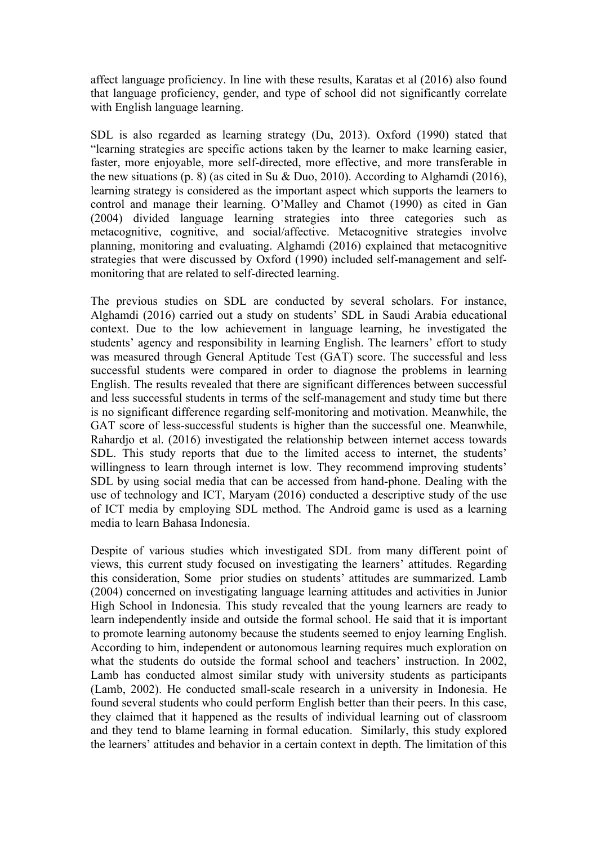affect language proficiency. In line with these results, Karatas et al (2016) also found that language proficiency, gender, and type of school did not significantly correlate with English language learning.

SDL is also regarded as learning strategy (Du, 2013). Oxford (1990) stated that "learning strategies are specific actions taken by the learner to make learning easier, faster, more enjoyable, more self-directed, more effective, and more transferable in the new situations (p. 8) (as cited in Su & Duo, 2010). According to Alghamdi (2016), learning strategy is considered as the important aspect which supports the learners to control and manage their learning. O'Malley and Chamot (1990) as cited in Gan (2004) divided language learning strategies into three categories such as metacognitive, cognitive, and social/affective. Metacognitive strategies involve planning, monitoring and evaluating. Alghamdi (2016) explained that metacognitive strategies that were discussed by Oxford (1990) included self-management and selfmonitoring that are related to self-directed learning.

The previous studies on SDL are conducted by several scholars. For instance, Alghamdi (2016) carried out a study on students' SDL in Saudi Arabia educational context. Due to the low achievement in language learning, he investigated the students' agency and responsibility in learning English. The learners' effort to study was measured through General Aptitude Test (GAT) score. The successful and less successful students were compared in order to diagnose the problems in learning English. The results revealed that there are significant differences between successful and less successful students in terms of the self-management and study time but there is no significant difference regarding self-monitoring and motivation. Meanwhile, the GAT score of less-successful students is higher than the successful one. Meanwhile, Rahardjo et al. (2016) investigated the relationship between internet access towards SDL. This study reports that due to the limited access to internet, the students' willingness to learn through internet is low. They recommend improving students' SDL by using social media that can be accessed from hand-phone. Dealing with the use of technology and ICT, Maryam (2016) conducted a descriptive study of the use of ICT media by employing SDL method. The Android game is used as a learning media to learn Bahasa Indonesia.

Despite of various studies which investigated SDL from many different point of views, this current study focused on investigating the learners' attitudes. Regarding this consideration, Some prior studies on students' attitudes are summarized. Lamb (2004) concerned on investigating language learning attitudes and activities in Junior High School in Indonesia. This study revealed that the young learners are ready to learn independently inside and outside the formal school. He said that it is important to promote learning autonomy because the students seemed to enjoy learning English. According to him, independent or autonomous learning requires much exploration on what the students do outside the formal school and teachers' instruction. In 2002, Lamb has conducted almost similar study with university students as participants (Lamb, 2002). He conducted small-scale research in a university in Indonesia. He found several students who could perform English better than their peers. In this case, they claimed that it happened as the results of individual learning out of classroom and they tend to blame learning in formal education. Similarly, this study explored the learners' attitudes and behavior in a certain context in depth. The limitation of this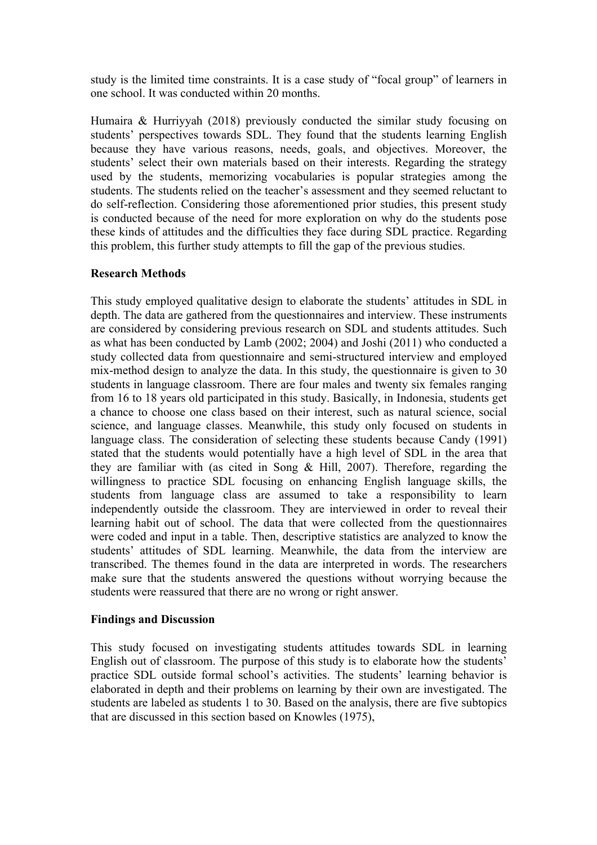study is the limited time constraints. It is a case study of "focal group" of learners in one school. It was conducted within 20 months.

Humaira & Hurriyyah (2018) previously conducted the similar study focusing on students' perspectives towards SDL. They found that the students learning English because they have various reasons, needs, goals, and objectives. Moreover, the students' select their own materials based on their interests. Regarding the strategy used by the students, memorizing vocabularies is popular strategies among the students. The students relied on the teacher's assessment and they seemed reluctant to do self-reflection. Considering those aforementioned prior studies, this present study is conducted because of the need for more exploration on why do the students pose these kinds of attitudes and the difficulties they face during SDL practice. Regarding this problem, this further study attempts to fill the gap of the previous studies.

# **Research Methods**

This study employed qualitative design to elaborate the students' attitudes in SDL in depth. The data are gathered from the questionnaires and interview. These instruments are considered by considering previous research on SDL and students attitudes. Such as what has been conducted by Lamb (2002; 2004) and Joshi (2011) who conducted a study collected data from questionnaire and semi-structured interview and employed mix-method design to analyze the data. In this study, the questionnaire is given to 30 students in language classroom. There are four males and twenty six females ranging from 16 to 18 years old participated in this study. Basically, in Indonesia, students get a chance to choose one class based on their interest, such as natural science, social science, and language classes. Meanwhile, this study only focused on students in language class. The consideration of selecting these students because Candy (1991) stated that the students would potentially have a high level of SDL in the area that they are familiar with (as cited in Song & Hill, 2007). Therefore, regarding the willingness to practice SDL focusing on enhancing English language skills, the students from language class are assumed to take a responsibility to learn independently outside the classroom. They are interviewed in order to reveal their learning habit out of school. The data that were collected from the questionnaires were coded and input in a table. Then, descriptive statistics are analyzed to know the students' attitudes of SDL learning. Meanwhile, the data from the interview are transcribed. The themes found in the data are interpreted in words. The researchers make sure that the students answered the questions without worrying because the students were reassured that there are no wrong or right answer.

### **Findings and Discussion**

This study focused on investigating students attitudes towards SDL in learning English out of classroom. The purpose of this study is to elaborate how the students' practice SDL outside formal school's activities. The students' learning behavior is elaborated in depth and their problems on learning by their own are investigated. The students are labeled as students 1 to 30. Based on the analysis, there are five subtopics that are discussed in this section based on Knowles (1975),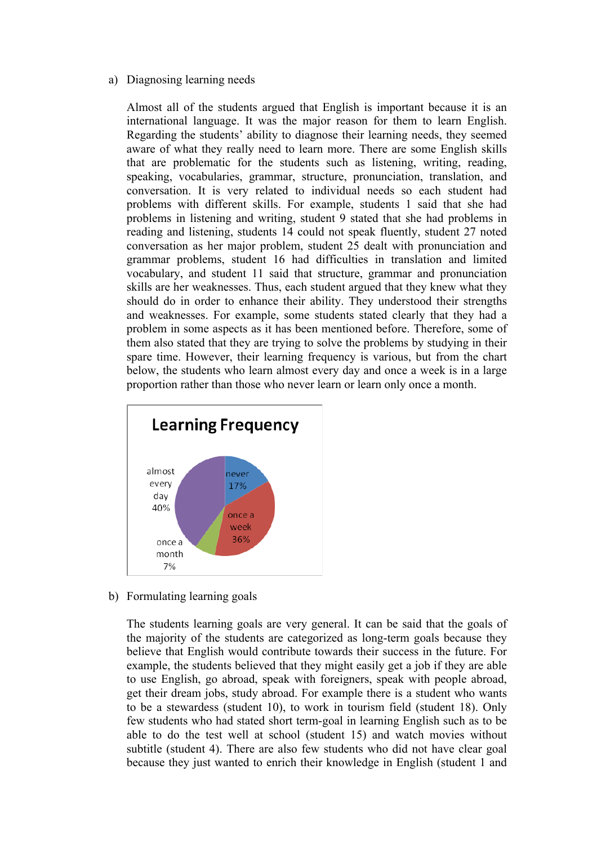#### a) Diagnosing learning needs

Almost all of the students argued that English is important because it is an international language. It was the major reason for them to learn English. Regarding the students' ability to diagnose their learning needs, they seemed aware of what they really need to learn more. There are some English skills that are problematic for the students such as listening, writing, reading, speaking, vocabularies, grammar, structure, pronunciation, translation, and conversation. It is very related to individual needs so each student had problems with different skills. For example, students 1 said that she had problems in listening and writing, student 9 stated that she had problems in reading and listening, students 14 could not speak fluently, student 27 noted conversation as her major problem, student 25 dealt with pronunciation and grammar problems, student 16 had difficulties in translation and limited vocabulary, and student 11 said that structure, grammar and pronunciation skills are her weaknesses. Thus, each student argued that they knew what they should do in order to enhance their ability. They understood their strengths and weaknesses. For example, some students stated clearly that they had a problem in some aspects as it has been mentioned before. Therefore, some of them also stated that they are trying to solve the problems by studying in their spare time. However, their learning frequency is various, but from the chart below, the students who learn almost every day and once a week is in a large proportion rather than those who never learn or learn only once a month.



### b) Formulating learning goals

The students learning goals are very general. It can be said that the goals of the majority of the students are categorized as long-term goals because they believe that English would contribute towards their success in the future. For example, the students believed that they might easily get a job if they are able to use English, go abroad, speak with foreigners, speak with people abroad, get their dream jobs, study abroad. For example there is a student who wants to be a stewardess (student 10), to work in tourism field (student 18). Only few students who had stated short term-goal in learning English such as to be able to do the test well at school (student 15) and watch movies without subtitle (student 4). There are also few students who did not have clear goal because they just wanted to enrich their knowledge in English (student 1 and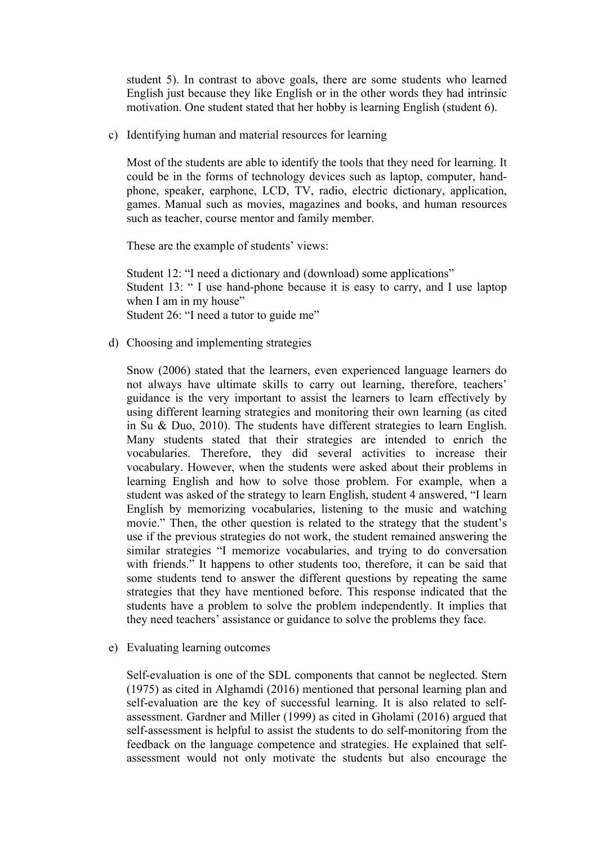student 5). In contrast to above goals, there are some students who learned English just because they like English or in the other words they had intrinsic motivation. One student stated that her hobby is learning English (student 6).

c) Identifying human and material resources for learning

Most of the students are able to identify the tools that they need for learning. It could be in the forms of technology devices such as laptop, computer, handphone, speaker, earphone, LCD, TV, radio, electric dictionary, application, games. Manual such as movies, magazines and books, and human resources such as teacher, course mentor and family member.

These are the example of students' views:

Student 12: "I need a dictionary and (download) some applications" Student 13: " I use hand-phone because it is easy to carry, and I use laptop when I am in my house" Student 26: "I need a tutor to guide me"

d) Choosing and implementing strategies

Snow (2006) stated that the learners, even experienced language learners do not always have ultimate skills to carry out learning, therefore, teachers' guidance is the very important to assist the learners to learn effectively by using different learning strategies and monitoring their own learning (as cited in Su & Duo, 2010). The students have different strategies to learn English. Many students stated that their strategies are intended to enrich the vocabularies. Therefore, they did several activities to increase their vocabulary. However, when the students were asked about their problems in learning English and how to solve those problem. For example, when a student was asked of the strategy to learn English, student 4 answered, "I learn English by memorizing vocabularies, listening to the music and watching movie." Then, the other question is related to the strategy that the student's use if the previous strategies do not work, the student remained answering the similar strategies "I memorize vocabularies, and trying to do conversation with friends." It happens to other students too, therefore, it can be said that some students tend to answer the different questions by repeating the same strategies that they have mentioned before. This response indicated that the students have a problem to solve the problem independently. It implies that they need teachers' assistance or guidance to solve the problems they face.

e) Evaluating learning outcomes

Self-evaluation is one of the SDL components that cannot be neglected. Stern (1975) as cited in Alghamdi (2016) mentioned that personal learning plan and self-evaluation are the key of successful learning. It is also related to selfassessment. Gardner and Miller (1999) as cited in Gholami (2016) argued that self-assessment is helpful to assist the students to do self-monitoring from the feedback on the language competence and strategies. He explained that selfassessment would not only motivate the students but also encourage the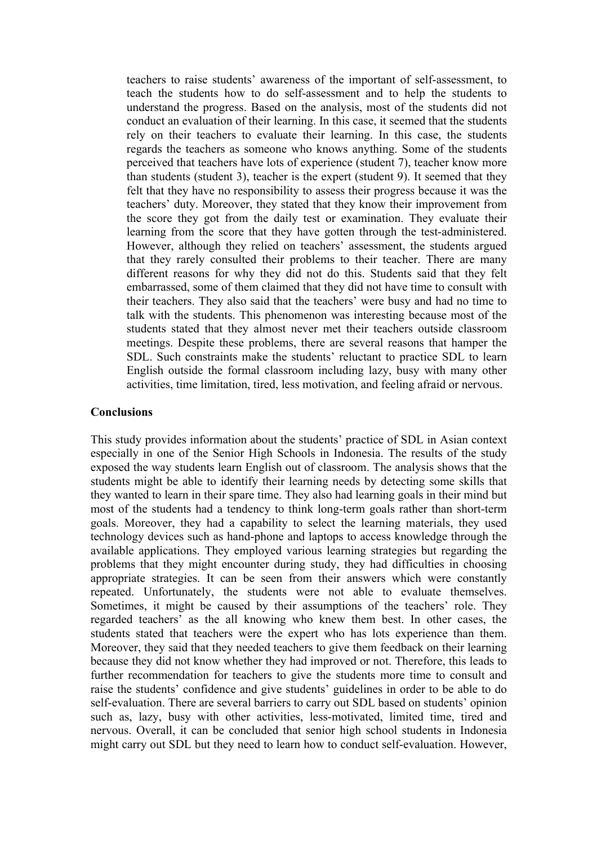teachers to raise students' awareness of the important of self-assessment, to teach the students how to do self-assessment and to help the students to understand the progress. Based on the analysis, most of the students did not conduct an evaluation of their learning. In this case, it seemed that the students rely on their teachers to evaluate their learning. In this case, the students regards the teachers as someone who knows anything. Some of the students perceived that teachers have lots of experience (student 7), teacher know more than students (student 3), teacher is the expert (student 9). It seemed that they felt that they have no responsibility to assess their progress because it was the teachers' duty. Moreover, they stated that they know their improvement from the score they got from the daily test or examination. They evaluate their learning from the score that they have gotten through the test-administered. However, although they relied on teachers' assessment, the students argued that they rarely consulted their problems to their teacher. There are many different reasons for why they did not do this. Students said that they felt embarrassed, some of them claimed that they did not have time to consult with their teachers. They also said that the teachers' were busy and had no time to talk with the students. This phenomenon was interesting because most of the students stated that they almost never met their teachers outside classroom meetings. Despite these problems, there are several reasons that hamper the SDL. Such constraints make the students' reluctant to practice SDL to learn English outside the formal classroom including lazy, busy with many other activities, time limitation, tired, less motivation, and feeling afraid or nervous.

### **Conclusions**

This study provides information about the students' practice of SDL in Asian context especially in one of the Senior High Schools in Indonesia. The results of the study exposed the way students learn English out of classroom. The analysis shows that the students might be able to identify their learning needs by detecting some skills that they wanted to learn in their spare time. They also had learning goals in their mind but most of the students had a tendency to think long-term goals rather than short-term goals. Moreover, they had a capability to select the learning materials, they used technology devices such as hand-phone and laptops to access knowledge through the available applications. They employed various learning strategies but regarding the problems that they might encounter during study, they had difficulties in choosing appropriate strategies. It can be seen from their answers which were constantly repeated. Unfortunately, the students were not able to evaluate themselves. Sometimes, it might be caused by their assumptions of the teachers' role. They regarded teachers' as the all knowing who knew them best. In other cases, the students stated that teachers were the expert who has lots experience than them. Moreover, they said that they needed teachers to give them feedback on their learning because they did not know whether they had improved or not. Therefore, this leads to further recommendation for teachers to give the students more time to consult and raise the students' confidence and give students' guidelines in order to be able to do self-evaluation. There are several barriers to carry out SDL based on students' opinion such as, lazy, busy with other activities, less-motivated, limited time, tired and nervous. Overall, it can be concluded that senior high school students in Indonesia might carry out SDL but they need to learn how to conduct self-evaluation. However,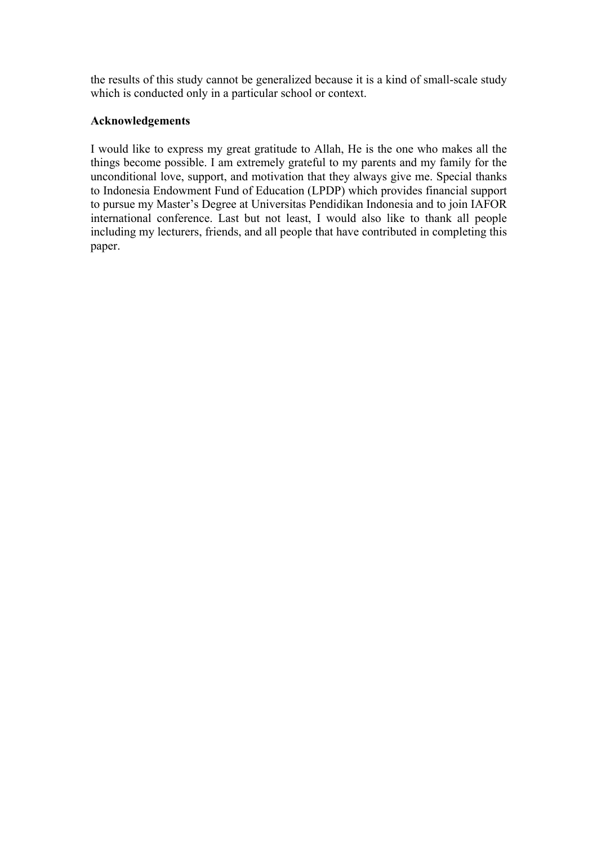the results of this study cannot be generalized because it is a kind of small-scale study which is conducted only in a particular school or context.

# **Acknowledgements**

I would like to express my great gratitude to Allah, He is the one who makes all the things become possible. I am extremely grateful to my parents and my family for the unconditional love, support, and motivation that they always give me. Special thanks to Indonesia Endowment Fund of Education (LPDP) which provides financial support to pursue my Master's Degree at Universitas Pendidikan Indonesia and to join IAFOR international conference. Last but not least, I would also like to thank all people including my lecturers, friends, and all people that have contributed in completing this paper.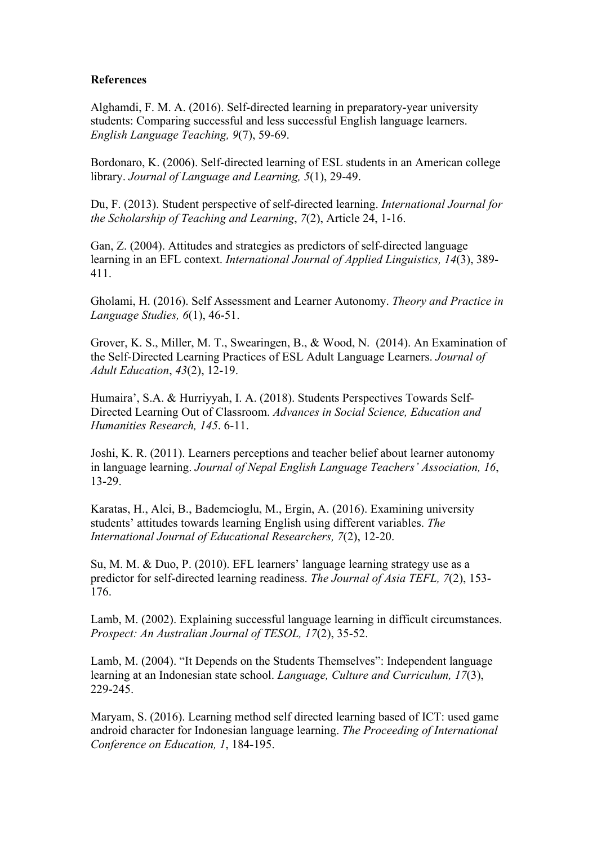# **References**

Alghamdi, F. M. A. (2016). Self-directed learning in preparatory-year university students: Comparing successful and less successful English language learners. *English Language Teaching, 9*(7), 59-69.

Bordonaro, K. (2006). Self-directed learning of ESL students in an American college library. *Journal of Language and Learning, 5*(1), 29-49.

Du, F. (2013). Student perspective of self-directed learning. *International Journal for the Scholarship of Teaching and Learning*, *7*(2), Article 24, 1-16.

Gan, Z. (2004). Attitudes and strategies as predictors of self-directed language learning in an EFL context. *International Journal of Applied Linguistics, 14*(3), 389- 411.

Gholami, H. (2016). Self Assessment and Learner Autonomy. *Theory and Practice in Language Studies, 6*(1), 46-51.

Grover, K. S., Miller, M. T., Swearingen, B., & Wood, N. (2014). An Examination of the Self-Directed Learning Practices of ESL Adult Language Learners. *Journal of Adult Education*, *43*(2), 12-19.

Humaira', S.A. & Hurriyyah, I. A. (2018). Students Perspectives Towards Self-Directed Learning Out of Classroom. *Advances in Social Science, Education and Humanities Research, 145*. 6-11.

Joshi, K. R. (2011). Learners perceptions and teacher belief about learner autonomy in language learning. *Journal of Nepal English Language Teachers' Association, 16*, 13-29.

Karatas, H., Alci, B., Bademcioglu, M., Ergin, A. (2016). Examining university students' attitudes towards learning English using different variables. *The International Journal of Educational Researchers, 7*(2), 12-20.

Su, M. M. & Duo, P. (2010). EFL learners' language learning strategy use as a predictor for self-directed learning readiness. *The Journal of Asia TEFL, 7*(2), 153- 176.

Lamb, M. (2002). Explaining successful language learning in difficult circumstances. *Prospect: An Australian Journal of TESOL, 17*(2), 35-52.

Lamb, M. (2004). "It Depends on the Students Themselves": Independent language learning at an Indonesian state school. *Language, Culture and Curriculum, 17*(3), 229-245.

Maryam, S. (2016). Learning method self directed learning based of ICT: used game android character for Indonesian language learning. *The Proceeding of International Conference on Education, 1*, 184-195.